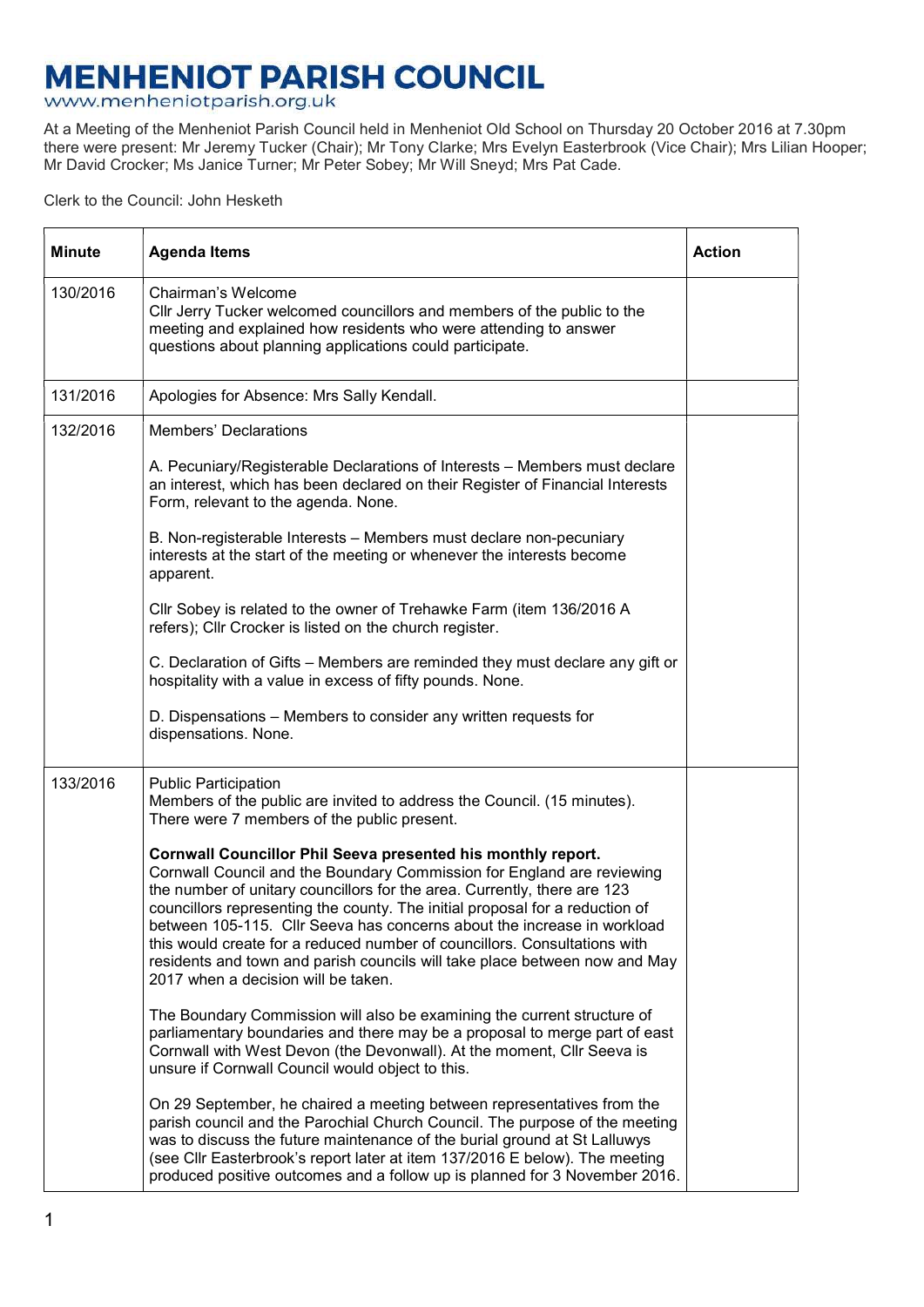## **MENHENIOT PARISH COUNCIL**<br>www.menheniotparish.org.uk

At a Meeting of the Menheniot Parish Council held in Menheniot Old School on Thursday 20 October 2016 at 7.30pm there were present: Mr Jeremy Tucker (Chair); Mr Tony Clarke; Mrs Evelyn Easterbrook (Vice Chair); Mrs Lilian Hooper; Mr David Crocker; Ms Janice Turner; Mr Peter Sobey; Mr Will Sneyd; Mrs Pat Cade.

Clerk to the Council: John Hesketh

| <b>Minute</b> | <b>Agenda Items</b>                                                                                                                                                                                                                                                                                                                                                                                                                                                                                                                                                             | <b>Action</b> |
|---------------|---------------------------------------------------------------------------------------------------------------------------------------------------------------------------------------------------------------------------------------------------------------------------------------------------------------------------------------------------------------------------------------------------------------------------------------------------------------------------------------------------------------------------------------------------------------------------------|---------------|
| 130/2016      | Chairman's Welcome<br>Cllr Jerry Tucker welcomed councillors and members of the public to the<br>meeting and explained how residents who were attending to answer<br>questions about planning applications could participate.                                                                                                                                                                                                                                                                                                                                                   |               |
| 131/2016      | Apologies for Absence: Mrs Sally Kendall.                                                                                                                                                                                                                                                                                                                                                                                                                                                                                                                                       |               |
| 132/2016      | <b>Members' Declarations</b>                                                                                                                                                                                                                                                                                                                                                                                                                                                                                                                                                    |               |
|               | A. Pecuniary/Registerable Declarations of Interests - Members must declare<br>an interest, which has been declared on their Register of Financial Interests<br>Form, relevant to the agenda. None.                                                                                                                                                                                                                                                                                                                                                                              |               |
|               | B. Non-registerable Interests - Members must declare non-pecuniary<br>interests at the start of the meeting or whenever the interests become<br>apparent.                                                                                                                                                                                                                                                                                                                                                                                                                       |               |
|               | Cllr Sobey is related to the owner of Trehawke Farm (item 136/2016 A<br>refers); Cllr Crocker is listed on the church register.                                                                                                                                                                                                                                                                                                                                                                                                                                                 |               |
|               | C. Declaration of Gifts - Members are reminded they must declare any gift or<br>hospitality with a value in excess of fifty pounds. None.                                                                                                                                                                                                                                                                                                                                                                                                                                       |               |
|               | D. Dispensations - Members to consider any written requests for<br>dispensations. None.                                                                                                                                                                                                                                                                                                                                                                                                                                                                                         |               |
| 133/2016      | <b>Public Participation</b><br>Members of the public are invited to address the Council. (15 minutes).<br>There were 7 members of the public present.                                                                                                                                                                                                                                                                                                                                                                                                                           |               |
|               | Cornwall Councillor Phil Seeva presented his monthly report.<br>Cornwall Council and the Boundary Commission for England are reviewing<br>the number of unitary councillors for the area. Currently, there are 123<br>councillors representing the county. The initial proposal for a reduction of<br>between 105-115. Cllr Seeva has concerns about the increase in workload<br>this would create for a reduced number of councillors. Consultations with<br>residents and town and parish councils will take place between now and May<br>2017 when a decision will be taken. |               |
|               | The Boundary Commission will also be examining the current structure of<br>parliamentary boundaries and there may be a proposal to merge part of east<br>Cornwall with West Devon (the Devonwall). At the moment, Cllr Seeva is<br>unsure if Cornwall Council would object to this.                                                                                                                                                                                                                                                                                             |               |
|               | On 29 September, he chaired a meeting between representatives from the<br>parish council and the Parochial Church Council. The purpose of the meeting<br>was to discuss the future maintenance of the burial ground at St Lalluwys<br>(see Cllr Easterbrook's report later at item 137/2016 E below). The meeting<br>produced positive outcomes and a follow up is planned for 3 November 2016.                                                                                                                                                                                 |               |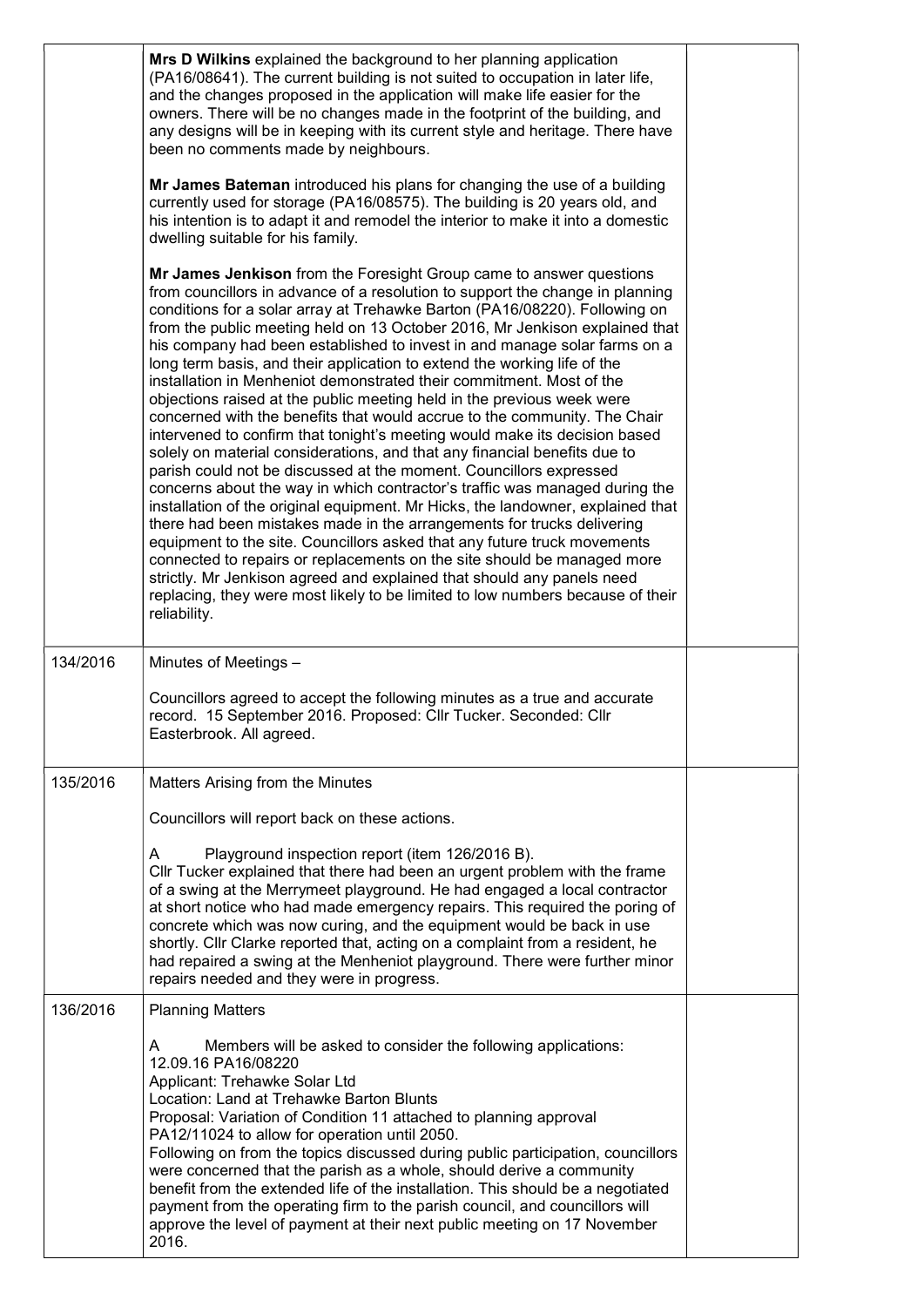|          | Mrs D Wilkins explained the background to her planning application<br>(PA16/08641). The current building is not suited to occupation in later life,<br>and the changes proposed in the application will make life easier for the<br>owners. There will be no changes made in the footprint of the building, and<br>any designs will be in keeping with its current style and heritage. There have<br>been no comments made by neighbours.<br>Mr James Bateman introduced his plans for changing the use of a building<br>currently used for storage (PA16/08575). The building is 20 years old, and<br>his intention is to adapt it and remodel the interior to make it into a domestic<br>dwelling suitable for his family.                                                                                                                                                                                                                                                                                                                                                                                                                                                                                                                                                                                                                                                                                                                                                                                              |  |
|----------|---------------------------------------------------------------------------------------------------------------------------------------------------------------------------------------------------------------------------------------------------------------------------------------------------------------------------------------------------------------------------------------------------------------------------------------------------------------------------------------------------------------------------------------------------------------------------------------------------------------------------------------------------------------------------------------------------------------------------------------------------------------------------------------------------------------------------------------------------------------------------------------------------------------------------------------------------------------------------------------------------------------------------------------------------------------------------------------------------------------------------------------------------------------------------------------------------------------------------------------------------------------------------------------------------------------------------------------------------------------------------------------------------------------------------------------------------------------------------------------------------------------------------|--|
|          | Mr James Jenkison from the Foresight Group came to answer questions<br>from councillors in advance of a resolution to support the change in planning<br>conditions for a solar array at Trehawke Barton (PA16/08220). Following on<br>from the public meeting held on 13 October 2016, Mr Jenkison explained that<br>his company had been established to invest in and manage solar farms on a<br>long term basis, and their application to extend the working life of the<br>installation in Menheniot demonstrated their commitment. Most of the<br>objections raised at the public meeting held in the previous week were<br>concerned with the benefits that would accrue to the community. The Chair<br>intervened to confirm that tonight's meeting would make its decision based<br>solely on material considerations, and that any financial benefits due to<br>parish could not be discussed at the moment. Councillors expressed<br>concerns about the way in which contractor's traffic was managed during the<br>installation of the original equipment. Mr Hicks, the landowner, explained that<br>there had been mistakes made in the arrangements for trucks delivering<br>equipment to the site. Councillors asked that any future truck movements<br>connected to repairs or replacements on the site should be managed more<br>strictly. Mr Jenkison agreed and explained that should any panels need<br>replacing, they were most likely to be limited to low numbers because of their<br>reliability. |  |
| 134/2016 | Minutes of Meetings -<br>Councillors agreed to accept the following minutes as a true and accurate<br>record. 15 September 2016. Proposed: Cllr Tucker. Seconded: Cllr<br>Easterbrook. All agreed.                                                                                                                                                                                                                                                                                                                                                                                                                                                                                                                                                                                                                                                                                                                                                                                                                                                                                                                                                                                                                                                                                                                                                                                                                                                                                                                        |  |
| 135/2016 | Matters Arising from the Minutes                                                                                                                                                                                                                                                                                                                                                                                                                                                                                                                                                                                                                                                                                                                                                                                                                                                                                                                                                                                                                                                                                                                                                                                                                                                                                                                                                                                                                                                                                          |  |
|          | Councillors will report back on these actions.                                                                                                                                                                                                                                                                                                                                                                                                                                                                                                                                                                                                                                                                                                                                                                                                                                                                                                                                                                                                                                                                                                                                                                                                                                                                                                                                                                                                                                                                            |  |
|          | Playground inspection report (item 126/2016 B).<br>A<br>CIIr Tucker explained that there had been an urgent problem with the frame<br>of a swing at the Merrymeet playground. He had engaged a local contractor<br>at short notice who had made emergency repairs. This required the poring of<br>concrete which was now curing, and the equipment would be back in use<br>shortly. Cllr Clarke reported that, acting on a complaint from a resident, he<br>had repaired a swing at the Menheniot playground. There were further minor<br>repairs needed and they were in progress.                                                                                                                                                                                                                                                                                                                                                                                                                                                                                                                                                                                                                                                                                                                                                                                                                                                                                                                                       |  |
| 136/2016 | <b>Planning Matters</b>                                                                                                                                                                                                                                                                                                                                                                                                                                                                                                                                                                                                                                                                                                                                                                                                                                                                                                                                                                                                                                                                                                                                                                                                                                                                                                                                                                                                                                                                                                   |  |
|          | Members will be asked to consider the following applications:<br>A<br>12.09.16 PA16/08220<br>Applicant: Trehawke Solar Ltd<br>Location: Land at Trehawke Barton Blunts<br>Proposal: Variation of Condition 11 attached to planning approval<br>PA12/11024 to allow for operation until 2050.<br>Following on from the topics discussed during public participation, councillors<br>were concerned that the parish as a whole, should derive a community<br>benefit from the extended life of the installation. This should be a negotiated<br>payment from the operating firm to the parish council, and councillors will<br>approve the level of payment at their next public meeting on 17 November<br>2016.                                                                                                                                                                                                                                                                                                                                                                                                                                                                                                                                                                                                                                                                                                                                                                                                            |  |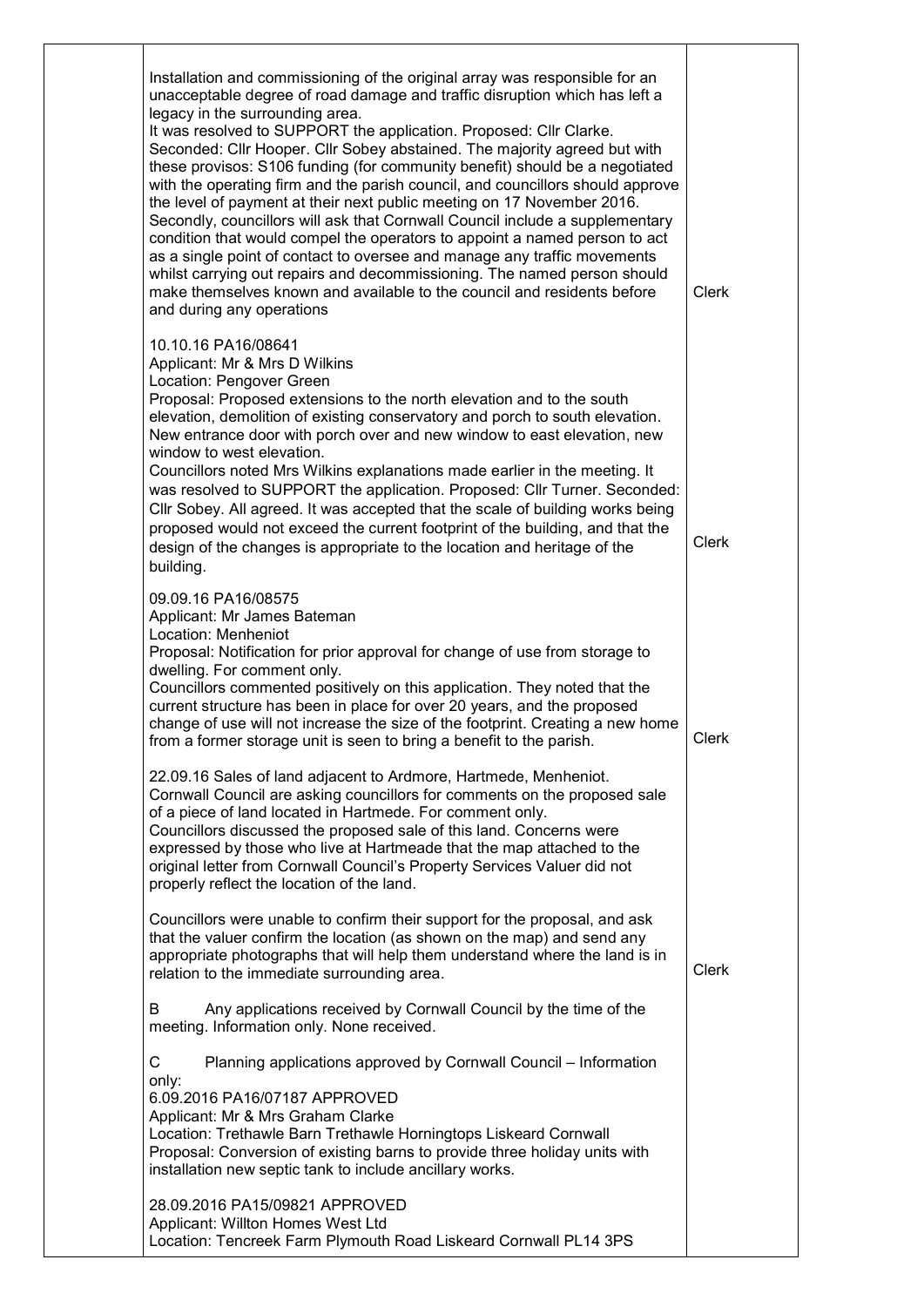| Installation and commissioning of the original array was responsible for an<br>unacceptable degree of road damage and traffic disruption which has left a<br>legacy in the surrounding area.<br>It was resolved to SUPPORT the application. Proposed: Cllr Clarke.<br>Seconded: Cllr Hooper. Cllr Sobey abstained. The majority agreed but with<br>these provisos: S106 funding (for community benefit) should be a negotiated<br>with the operating firm and the parish council, and councillors should approve<br>the level of payment at their next public meeting on 17 November 2016.<br>Secondly, councillors will ask that Cornwall Council include a supplementary<br>condition that would compel the operators to appoint a named person to act<br>as a single point of contact to oversee and manage any traffic movements<br>whilst carrying out repairs and decommissioning. The named person should<br>make themselves known and available to the council and residents before<br>and during any operations | Clerk        |
|--------------------------------------------------------------------------------------------------------------------------------------------------------------------------------------------------------------------------------------------------------------------------------------------------------------------------------------------------------------------------------------------------------------------------------------------------------------------------------------------------------------------------------------------------------------------------------------------------------------------------------------------------------------------------------------------------------------------------------------------------------------------------------------------------------------------------------------------------------------------------------------------------------------------------------------------------------------------------------------------------------------------------|--------------|
| 10.10.16 PA16/08641<br>Applicant: Mr & Mrs D Wilkins<br>Location: Pengover Green<br>Proposal: Proposed extensions to the north elevation and to the south<br>elevation, demolition of existing conservatory and porch to south elevation.<br>New entrance door with porch over and new window to east elevation, new<br>window to west elevation.                                                                                                                                                                                                                                                                                                                                                                                                                                                                                                                                                                                                                                                                        |              |
| Councillors noted Mrs Wilkins explanations made earlier in the meeting. It<br>was resolved to SUPPORT the application. Proposed: Cllr Turner. Seconded:<br>Cllr Sobey. All agreed. It was accepted that the scale of building works being<br>proposed would not exceed the current footprint of the building, and that the<br>design of the changes is appropriate to the location and heritage of the<br>building.                                                                                                                                                                                                                                                                                                                                                                                                                                                                                                                                                                                                      | <b>Clerk</b> |
| 09.09.16 PA16/08575<br>Applicant: Mr James Bateman<br>Location: Menheniot<br>Proposal: Notification for prior approval for change of use from storage to<br>dwelling. For comment only.<br>Councillors commented positively on this application. They noted that the<br>current structure has been in place for over 20 years, and the proposed<br>change of use will not increase the size of the footprint. Creating a new home<br>from a former storage unit is seen to bring a benefit to the parish.                                                                                                                                                                                                                                                                                                                                                                                                                                                                                                                | Clerk        |
| 22.09.16 Sales of land adjacent to Ardmore, Hartmede, Menheniot.<br>Cornwall Council are asking councillors for comments on the proposed sale<br>of a piece of land located in Hartmede. For comment only.<br>Councillors discussed the proposed sale of this land. Concerns were<br>expressed by those who live at Hartmeade that the map attached to the<br>original letter from Cornwall Council's Property Services Valuer did not<br>properly reflect the location of the land.                                                                                                                                                                                                                                                                                                                                                                                                                                                                                                                                     |              |
| Councillors were unable to confirm their support for the proposal, and ask<br>that the valuer confirm the location (as shown on the map) and send any<br>appropriate photographs that will help them understand where the land is in<br>relation to the immediate surrounding area.                                                                                                                                                                                                                                                                                                                                                                                                                                                                                                                                                                                                                                                                                                                                      | <b>Clerk</b> |
| Any applications received by Cornwall Council by the time of the<br>B<br>meeting. Information only. None received.                                                                                                                                                                                                                                                                                                                                                                                                                                                                                                                                                                                                                                                                                                                                                                                                                                                                                                       |              |
| С<br>Planning applications approved by Cornwall Council - Information<br>only:                                                                                                                                                                                                                                                                                                                                                                                                                                                                                                                                                                                                                                                                                                                                                                                                                                                                                                                                           |              |
| 6.09.2016 PA16/07187 APPROVED<br>Applicant: Mr & Mrs Graham Clarke                                                                                                                                                                                                                                                                                                                                                                                                                                                                                                                                                                                                                                                                                                                                                                                                                                                                                                                                                       |              |
| Location: Trethawle Barn Trethawle Horningtops Liskeard Cornwall<br>Proposal: Conversion of existing barns to provide three holiday units with<br>installation new septic tank to include ancillary works.                                                                                                                                                                                                                                                                                                                                                                                                                                                                                                                                                                                                                                                                                                                                                                                                               |              |
| 28.09.2016 PA15/09821 APPROVED                                                                                                                                                                                                                                                                                                                                                                                                                                                                                                                                                                                                                                                                                                                                                                                                                                                                                                                                                                                           |              |
| Applicant: Willton Homes West Ltd<br>Location: Tencreek Farm Plymouth Road Liskeard Cornwall PL14 3PS                                                                                                                                                                                                                                                                                                                                                                                                                                                                                                                                                                                                                                                                                                                                                                                                                                                                                                                    |              |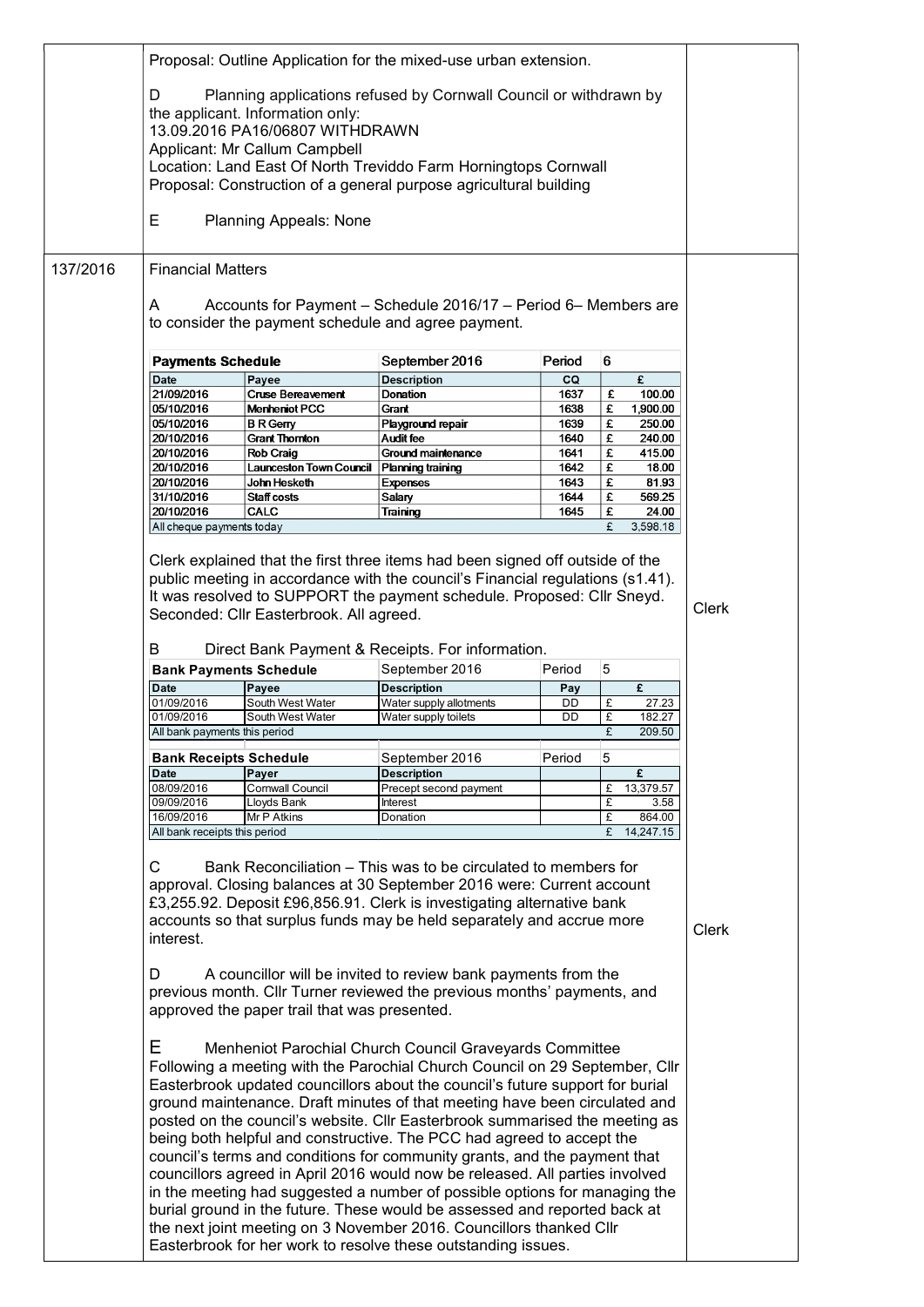|                     |                               |                                                                                                      | Proposal: Outline Application for the mixed-use urban extension.                                                                                                                                                                                                                                                                                                                                                                       |                                                         |        |                    |       |
|---------------------|-------------------------------|------------------------------------------------------------------------------------------------------|----------------------------------------------------------------------------------------------------------------------------------------------------------------------------------------------------------------------------------------------------------------------------------------------------------------------------------------------------------------------------------------------------------------------------------------|---------------------------------------------------------|--------|--------------------|-------|
| D                   |                               | the applicant. Information only:<br>13.09.2016 PA16/06807 WITHDRAWN<br>Applicant: Mr Callum Campbell | Planning applications refused by Cornwall Council or withdrawn by<br>Location: Land East Of North Treviddo Farm Horningtops Cornwall                                                                                                                                                                                                                                                                                                   |                                                         |        |                    |       |
|                     |                               |                                                                                                      | Proposal: Construction of a general purpose agricultural building                                                                                                                                                                                                                                                                                                                                                                      |                                                         |        |                    |       |
| E                   |                               | <b>Planning Appeals: None</b>                                                                        |                                                                                                                                                                                                                                                                                                                                                                                                                                        |                                                         |        |                    |       |
|                     | <b>Financial Matters</b>      |                                                                                                      |                                                                                                                                                                                                                                                                                                                                                                                                                                        |                                                         |        |                    |       |
| A                   |                               |                                                                                                      | Accounts for Payment - Schedule 2016/17 - Period 6- Members are<br>to consider the payment schedule and agree payment.                                                                                                                                                                                                                                                                                                                 |                                                         |        |                    |       |
|                     | <b>Payments Schedule</b>      |                                                                                                      | September 2016                                                                                                                                                                                                                                                                                                                                                                                                                         | Period                                                  | 6      |                    |       |
| <b>Date</b>         |                               | Payee                                                                                                | <b>Description</b>                                                                                                                                                                                                                                                                                                                                                                                                                     | CQ                                                      |        | £                  |       |
|                     | 21/09/2016                    | <b>Cruse Bereavement</b>                                                                             | Donation                                                                                                                                                                                                                                                                                                                                                                                                                               | 1637                                                    | £      | 100.00             |       |
|                     | 05/10/2016<br>05/10/2016      | Menheniot PCC<br>B R Gerry                                                                           | Grant<br>Playground repair                                                                                                                                                                                                                                                                                                                                                                                                             | 1638<br>1639                                            | £<br>£ | 1,900.00<br>250.00 |       |
|                     | 20/10/2016                    | <b>Grant Thornton</b>                                                                                | Audit fee                                                                                                                                                                                                                                                                                                                                                                                                                              | 1640                                                    | £      | 240.00             |       |
|                     | 20/10/2016                    | <b>Rob Craig</b>                                                                                     | Ground maintenance                                                                                                                                                                                                                                                                                                                                                                                                                     | 1641                                                    | £      | 415.00             |       |
|                     | 20/10/2016                    | <b>Launceston Town Council</b>                                                                       | Planning training                                                                                                                                                                                                                                                                                                                                                                                                                      | 1642                                                    | £      | 18.00              |       |
|                     | 20/10/2016<br>31/10/2016      | John Hesketh<br>Staff costs                                                                          | <b>Expenses</b><br>Salary                                                                                                                                                                                                                                                                                                                                                                                                              | 1643<br>1644                                            | £<br>£ | 81.93<br>569.25    |       |
|                     | 20/10/2016                    | <b>CALC</b>                                                                                          | Training                                                                                                                                                                                                                                                                                                                                                                                                                               | 1645                                                    | £      | 24.00              |       |
|                     | All cheque payments today     |                                                                                                      |                                                                                                                                                                                                                                                                                                                                                                                                                                        |                                                         | £      | 3,598.18           |       |
| B<br><b>Date</b>    |                               | Seconded: Cllr Easterbrook. All agreed.<br><b>Bank Payments Schedule</b><br>Payee                    | Direct Bank Payment & Receipts. For information.<br>September 2016<br><b>Description</b>                                                                                                                                                                                                                                                                                                                                               | Period<br>Pay                                           | 5      | £                  | Clerk |
|                     | 01/09/2016                    | South West Water                                                                                     | Water supply allotments                                                                                                                                                                                                                                                                                                                                                                                                                | DD                                                      | £      | 27.23              |       |
|                     | 01/09/2016                    | South West Water                                                                                     | Water supply toilets                                                                                                                                                                                                                                                                                                                                                                                                                   | DD                                                      | £      | 182.27             |       |
|                     | All bank payments this period |                                                                                                      |                                                                                                                                                                                                                                                                                                                                                                                                                                        |                                                         | £      | 209.50             |       |
|                     |                               | <b>Bank Receipts Schedule</b>                                                                        | September 2016                                                                                                                                                                                                                                                                                                                                                                                                                         | Period                                                  | 5      |                    |       |
| <b>Date</b>         |                               | Payer                                                                                                | <b>Description</b>                                                                                                                                                                                                                                                                                                                                                                                                                     |                                                         |        | £                  |       |
|                     | 08/09/2016<br>09/09/2016      | <b>Cornwall Council</b><br>Lloyds Bank                                                               | Precept second payment<br><b>Interest</b>                                                                                                                                                                                                                                                                                                                                                                                              |                                                         | £<br>£ | 13,379.57<br>3.58  |       |
|                     | 16/09/2016                    | Mr P Atkins                                                                                          | Donation                                                                                                                                                                                                                                                                                                                                                                                                                               |                                                         | £      | 864.00             |       |
|                     | All bank receipts this period |                                                                                                      |                                                                                                                                                                                                                                                                                                                                                                                                                                        |                                                         |        | £ 14,247.15        |       |
| С<br>interest.<br>D |                               | approved the paper trail that was presented.                                                         | Bank Reconciliation – This was to be circulated to members for<br>approval. Closing balances at 30 September 2016 were: Current account<br>£3,255.92. Deposit £96,856.91. Clerk is investigating alternative bank<br>accounts so that surplus funds may be held separately and accrue more<br>A councillor will be invited to review bank payments from the<br>previous month. Cllr Turner reviewed the previous months' payments, and | Menheniot Parochial Church Council Graveyards Committee |        |                    | Clerk |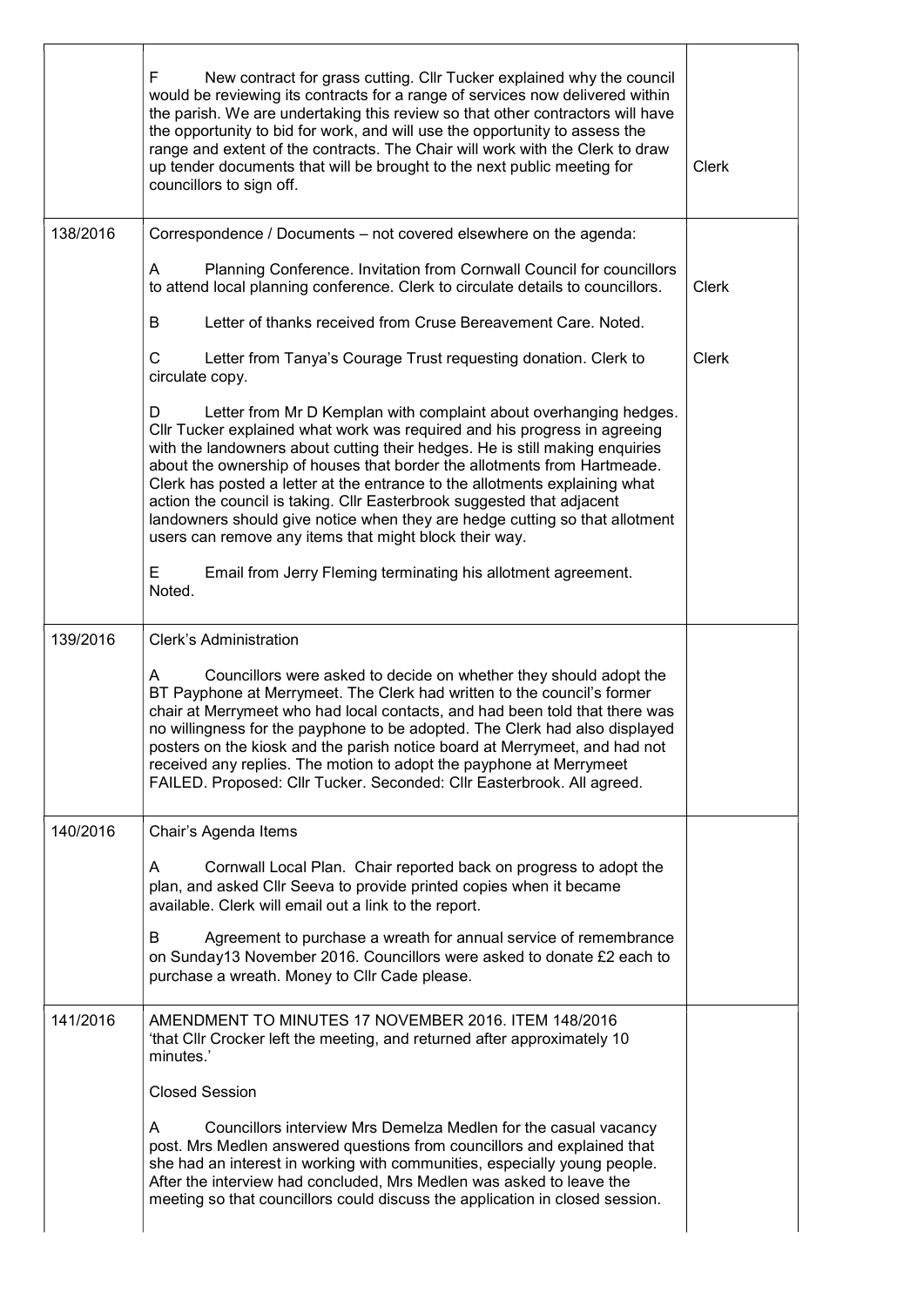|          | F<br>New contract for grass cutting. Cllr Tucker explained why the council<br>would be reviewing its contracts for a range of services now delivered within<br>the parish. We are undertaking this review so that other contractors will have<br>the opportunity to bid for work, and will use the opportunity to assess the<br>range and extent of the contracts. The Chair will work with the Clerk to draw<br>up tender documents that will be brought to the next public meeting for<br>councillors to sign off.                                                                                                   | Clerk |
|----------|------------------------------------------------------------------------------------------------------------------------------------------------------------------------------------------------------------------------------------------------------------------------------------------------------------------------------------------------------------------------------------------------------------------------------------------------------------------------------------------------------------------------------------------------------------------------------------------------------------------------|-------|
| 138/2016 | Correspondence / Documents - not covered elsewhere on the agenda:                                                                                                                                                                                                                                                                                                                                                                                                                                                                                                                                                      |       |
|          | Planning Conference. Invitation from Cornwall Council for councillors<br>A<br>to attend local planning conference. Clerk to circulate details to councillors.                                                                                                                                                                                                                                                                                                                                                                                                                                                          | Clerk |
|          | Letter of thanks received from Cruse Bereavement Care. Noted.<br>B                                                                                                                                                                                                                                                                                                                                                                                                                                                                                                                                                     |       |
|          | C<br>Letter from Tanya's Courage Trust requesting donation. Clerk to<br>circulate copy.                                                                                                                                                                                                                                                                                                                                                                                                                                                                                                                                | Clerk |
|          | Letter from Mr D Kemplan with complaint about overhanging hedges.<br>D<br>CIIr Tucker explained what work was required and his progress in agreeing<br>with the landowners about cutting their hedges. He is still making enquiries<br>about the ownership of houses that border the allotments from Hartmeade.<br>Clerk has posted a letter at the entrance to the allotments explaining what<br>action the council is taking. Cllr Easterbrook suggested that adjacent<br>landowners should give notice when they are hedge cutting so that allotment<br>users can remove any items that might block their way.<br>Е |       |
|          | Email from Jerry Fleming terminating his allotment agreement.<br>Noted.                                                                                                                                                                                                                                                                                                                                                                                                                                                                                                                                                |       |
| 139/2016 | <b>Clerk's Administration</b>                                                                                                                                                                                                                                                                                                                                                                                                                                                                                                                                                                                          |       |
|          | Councillors were asked to decide on whether they should adopt the<br>A<br>BT Payphone at Merrymeet. The Clerk had written to the council's former<br>chair at Merrymeet who had local contacts, and had been told that there was<br>no willingness for the payphone to be adopted. The Clerk had also displayed<br>posters on the kiosk and the parish notice board at Merrymeet, and had not<br>received any replies. The motion to adopt the payphone at Merrymeet<br>FAILED. Proposed: Cllr Tucker. Seconded: Cllr Easterbrook. All agreed.                                                                         |       |
| 140/2016 | Chair's Agenda Items                                                                                                                                                                                                                                                                                                                                                                                                                                                                                                                                                                                                   |       |
|          | Cornwall Local Plan. Chair reported back on progress to adopt the<br>A<br>plan, and asked Cllr Seeva to provide printed copies when it became<br>available. Clerk will email out a link to the report.                                                                                                                                                                                                                                                                                                                                                                                                                 |       |
|          | Agreement to purchase a wreath for annual service of remembrance<br>B<br>on Sunday13 November 2016. Councillors were asked to donate £2 each to<br>purchase a wreath. Money to Cllr Cade please.                                                                                                                                                                                                                                                                                                                                                                                                                       |       |
| 141/2016 | AMENDMENT TO MINUTES 17 NOVEMBER 2016. ITEM 148/2016<br>'that Cllr Crocker left the meeting, and returned after approximately 10<br>minutes.'                                                                                                                                                                                                                                                                                                                                                                                                                                                                          |       |
|          | <b>Closed Session</b>                                                                                                                                                                                                                                                                                                                                                                                                                                                                                                                                                                                                  |       |
|          | A<br>Councillors interview Mrs Demelza Medlen for the casual vacancy<br>post. Mrs Medlen answered questions from councillors and explained that<br>she had an interest in working with communities, especially young people.<br>After the interview had concluded, Mrs Medlen was asked to leave the                                                                                                                                                                                                                                                                                                                   |       |